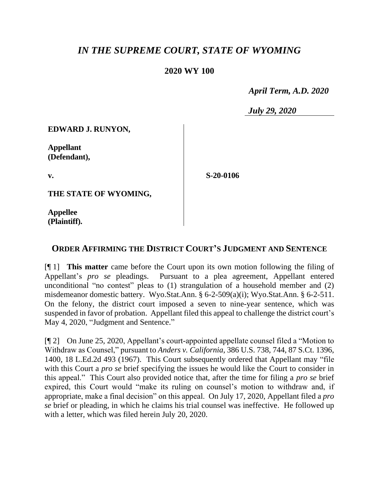## *IN THE SUPREME COURT, STATE OF WYOMING*

## **2020 WY 100**

 *April Term, A.D. 2020*

*July 29, 2020*

**EDWARD J. RUNYON,**

**Appellant (Defendant),**

**v.**

**S-20-0106**

**THE STATE OF WYOMING,**

**Appellee (Plaintiff).**

## **ORDER AFFIRMING THE DISTRICT COURT'S JUDGMENT AND SENTENCE**

[¶ 1] **This matter** came before the Court upon its own motion following the filing of Appellant's *pro se* pleadings. Pursuant to a plea agreement, Appellant entered unconditional "no contest" pleas to (1) strangulation of a household member and (2) misdemeanor domestic battery. Wyo.Stat.Ann. § 6-2-509(a)(i); Wyo.Stat.Ann. § 6-2-511. On the felony, the district court imposed a seven to nine-year sentence, which was suspended in favor of probation. Appellant filed this appeal to challenge the district court's May 4, 2020, "Judgment and Sentence."

[¶ 2] On June 25, 2020, Appellant's court-appointed appellate counsel filed a "Motion to Withdraw as Counsel," pursuant to *Anders v. California*, 386 U.S. 738, 744, 87 S.Ct. 1396, 1400, 18 L.Ed.2d 493 (1967). This Court subsequently ordered that Appellant may "file with this Court a *pro se* brief specifying the issues he would like the Court to consider in this appeal." This Court also provided notice that, after the time for filing a *pro se* brief expired, this Court would "make its ruling on counsel's motion to withdraw and, if appropriate, make a final decision" on this appeal. On July 17, 2020, Appellant filed a *pro se* brief or pleading, in which he claims his trial counsel was ineffective. He followed up with a letter, which was filed herein July 20, 2020.